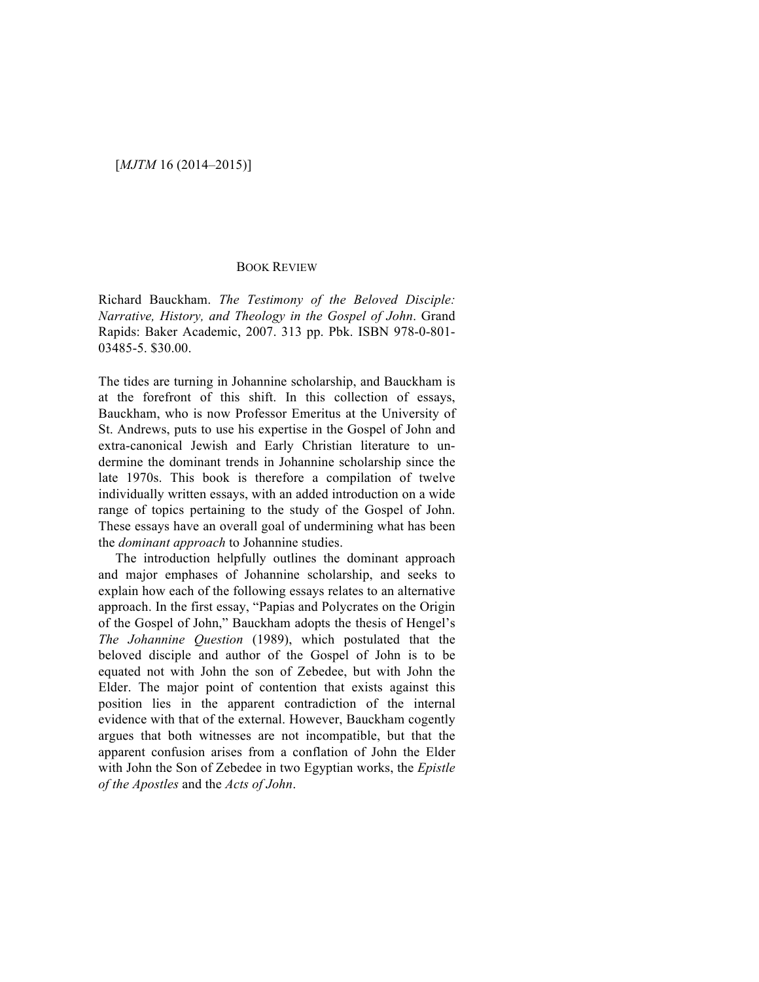## [*MJTM* 16 (2014–2015)]

#### BOOK REVIEW

Richard Bauckham. *The Testimony of the Beloved Disciple: Narrative, History, and Theology in the Gospel of John*. Grand Rapids: Baker Academic, 2007. 313 pp. Pbk. ISBN 978-0-801- 03485-5. \$30.00.

The tides are turning in Johannine scholarship, and Bauckham is at the forefront of this shift. In this collection of essays, Bauckham, who is now Professor Emeritus at the University of St. Andrews, puts to use his expertise in the Gospel of John and extra-canonical Jewish and Early Christian literature to undermine the dominant trends in Johannine scholarship since the late 1970s. This book is therefore a compilation of twelve individually written essays, with an added introduction on a wide range of topics pertaining to the study of the Gospel of John. These essays have an overall goal of undermining what has been the *dominant approach* to Johannine studies.

The introduction helpfully outlines the dominant approach and major emphases of Johannine scholarship, and seeks to explain how each of the following essays relates to an alternative approach. In the first essay, "Papias and Polycrates on the Origin of the Gospel of John," Bauckham adopts the thesis of Hengel's *The Johannine Question* (1989), which postulated that the beloved disciple and author of the Gospel of John is to be equated not with John the son of Zebedee, but with John the Elder. The major point of contention that exists against this position lies in the apparent contradiction of the internal evidence with that of the external. However, Bauckham cogently argues that both witnesses are not incompatible, but that the apparent confusion arises from a conflation of John the Elder with John the Son of Zebedee in two Egyptian works, the *Epistle of the Apostles* and the *Acts of John*.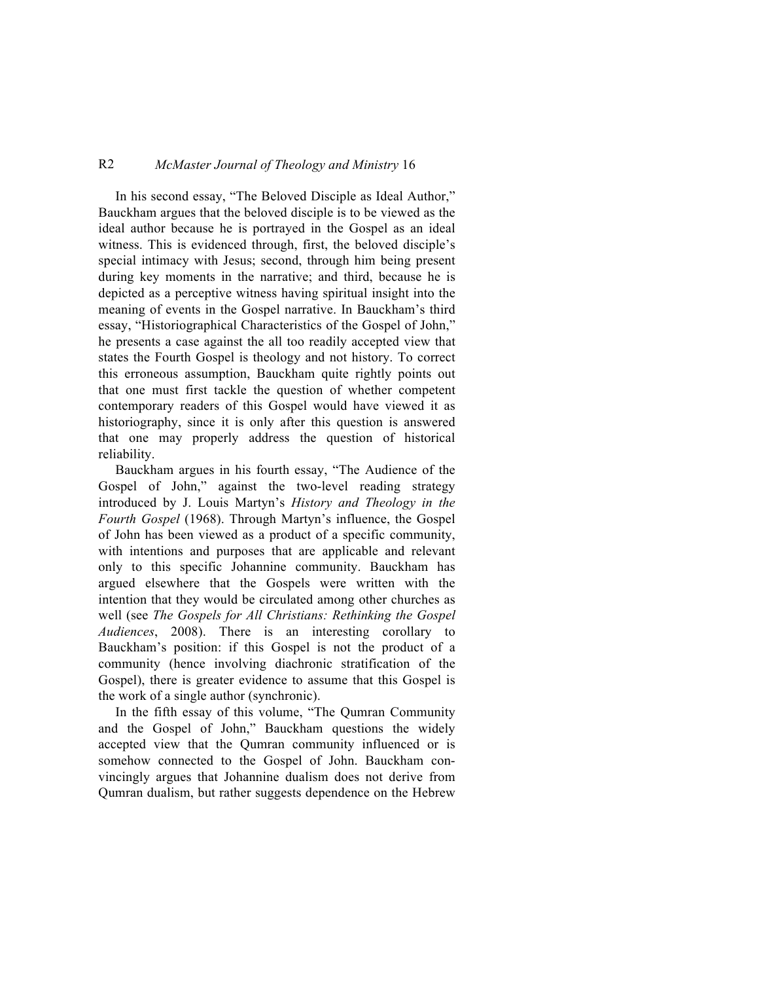## R2 *McMaster Journal of Theology and Ministry* 16

In his second essay, "The Beloved Disciple as Ideal Author," Bauckham argues that the beloved disciple is to be viewed as the ideal author because he is portrayed in the Gospel as an ideal witness. This is evidenced through, first, the beloved disciple's special intimacy with Jesus; second, through him being present during key moments in the narrative; and third, because he is depicted as a perceptive witness having spiritual insight into the meaning of events in the Gospel narrative. In Bauckham's third essay, "Historiographical Characteristics of the Gospel of John," he presents a case against the all too readily accepted view that states the Fourth Gospel is theology and not history. To correct this erroneous assumption, Bauckham quite rightly points out that one must first tackle the question of whether competent contemporary readers of this Gospel would have viewed it as historiography, since it is only after this question is answered that one may properly address the question of historical reliability.

Bauckham argues in his fourth essay, "The Audience of the Gospel of John," against the two-level reading strategy introduced by J. Louis Martyn's *History and Theology in the Fourth Gospel* (1968). Through Martyn's influence, the Gospel of John has been viewed as a product of a specific community, with intentions and purposes that are applicable and relevant only to this specific Johannine community. Bauckham has argued elsewhere that the Gospels were written with the intention that they would be circulated among other churches as well (see *The Gospels for All Christians: Rethinking the Gospel Audiences*, 2008). There is an interesting corollary to Bauckham's position: if this Gospel is not the product of a community (hence involving diachronic stratification of the Gospel), there is greater evidence to assume that this Gospel is the work of a single author (synchronic).

In the fifth essay of this volume, "The Qumran Community and the Gospel of John," Bauckham questions the widely accepted view that the Qumran community influenced or is somehow connected to the Gospel of John. Bauckham convincingly argues that Johannine dualism does not derive from Qumran dualism, but rather suggests dependence on the Hebrew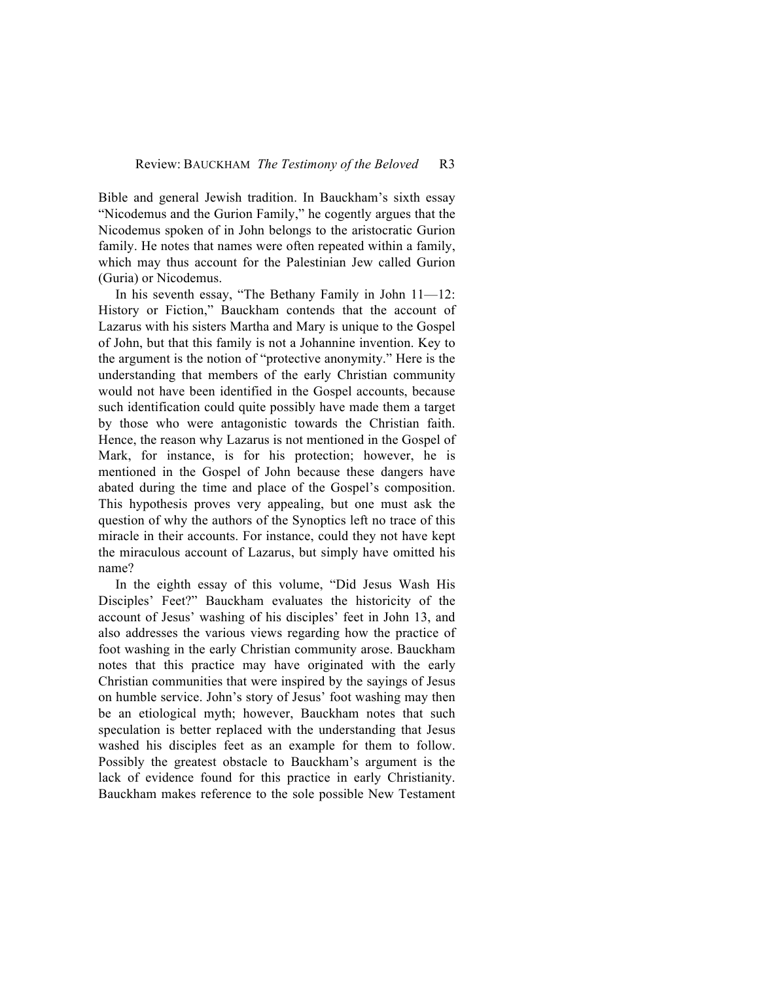Bible and general Jewish tradition. In Bauckham's sixth essay "Nicodemus and the Gurion Family," he cogently argues that the Nicodemus spoken of in John belongs to the aristocratic Gurion family. He notes that names were often repeated within a family, which may thus account for the Palestinian Jew called Gurion (Guria) or Nicodemus.

In his seventh essay, "The Bethany Family in John 11—12: History or Fiction," Bauckham contends that the account of Lazarus with his sisters Martha and Mary is unique to the Gospel of John, but that this family is not a Johannine invention. Key to the argument is the notion of "protective anonymity." Here is the understanding that members of the early Christian community would not have been identified in the Gospel accounts, because such identification could quite possibly have made them a target by those who were antagonistic towards the Christian faith. Hence, the reason why Lazarus is not mentioned in the Gospel of Mark, for instance, is for his protection; however, he is mentioned in the Gospel of John because these dangers have abated during the time and place of the Gospel's composition. This hypothesis proves very appealing, but one must ask the question of why the authors of the Synoptics left no trace of this miracle in their accounts. For instance, could they not have kept the miraculous account of Lazarus, but simply have omitted his name?

In the eighth essay of this volume, "Did Jesus Wash His Disciples' Feet?" Bauckham evaluates the historicity of the account of Jesus' washing of his disciples' feet in John 13, and also addresses the various views regarding how the practice of foot washing in the early Christian community arose. Bauckham notes that this practice may have originated with the early Christian communities that were inspired by the sayings of Jesus on humble service. John's story of Jesus' foot washing may then be an etiological myth; however, Bauckham notes that such speculation is better replaced with the understanding that Jesus washed his disciples feet as an example for them to follow. Possibly the greatest obstacle to Bauckham's argument is the lack of evidence found for this practice in early Christianity. Bauckham makes reference to the sole possible New Testament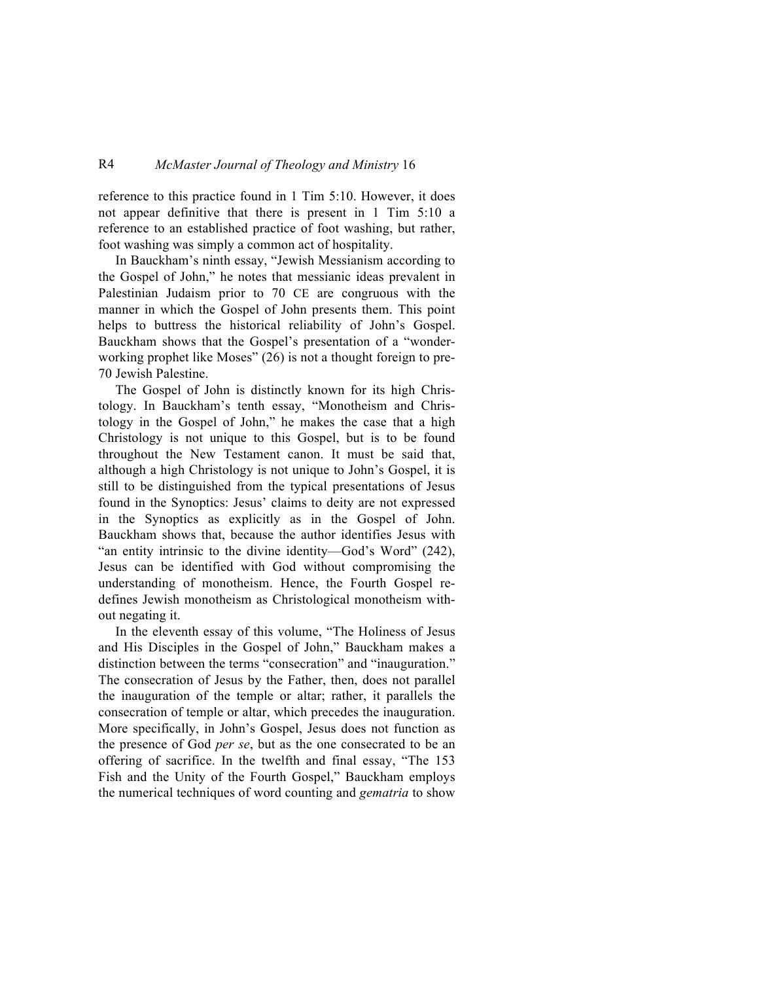#### R4 *McMaster Journal of Theology and Ministry* 16

reference to this practice found in 1 Tim 5:10. However, it does not appear definitive that there is present in 1 Tim 5:10 a reference to an established practice of foot washing, but rather, foot washing was simply a common act of hospitality.

In Bauckham's ninth essay, "Jewish Messianism according to the Gospel of John," he notes that messianic ideas prevalent in Palestinian Judaism prior to 70 CE are congruous with the manner in which the Gospel of John presents them. This point helps to buttress the historical reliability of John's Gospel. Bauckham shows that the Gospel's presentation of a "wonderworking prophet like Moses" (26) is not a thought foreign to pre-70 Jewish Palestine.

The Gospel of John is distinctly known for its high Christology. In Bauckham's tenth essay, "Monotheism and Christology in the Gospel of John," he makes the case that a high Christology is not unique to this Gospel, but is to be found throughout the New Testament canon. It must be said that, although a high Christology is not unique to John's Gospel, it is still to be distinguished from the typical presentations of Jesus found in the Synoptics: Jesus' claims to deity are not expressed in the Synoptics as explicitly as in the Gospel of John. Bauckham shows that, because the author identifies Jesus with "an entity intrinsic to the divine identity—God's Word" (242), Jesus can be identified with God without compromising the understanding of monotheism. Hence, the Fourth Gospel redefines Jewish monotheism as Christological monotheism without negating it.

In the eleventh essay of this volume, "The Holiness of Jesus and His Disciples in the Gospel of John," Bauckham makes a distinction between the terms "consecration" and "inauguration." The consecration of Jesus by the Father, then, does not parallel the inauguration of the temple or altar; rather, it parallels the consecration of temple or altar, which precedes the inauguration. More specifically, in John's Gospel, Jesus does not function as the presence of God *per se*, but as the one consecrated to be an offering of sacrifice. In the twelfth and final essay, "The 153 Fish and the Unity of the Fourth Gospel," Bauckham employs the numerical techniques of word counting and *gematria* to show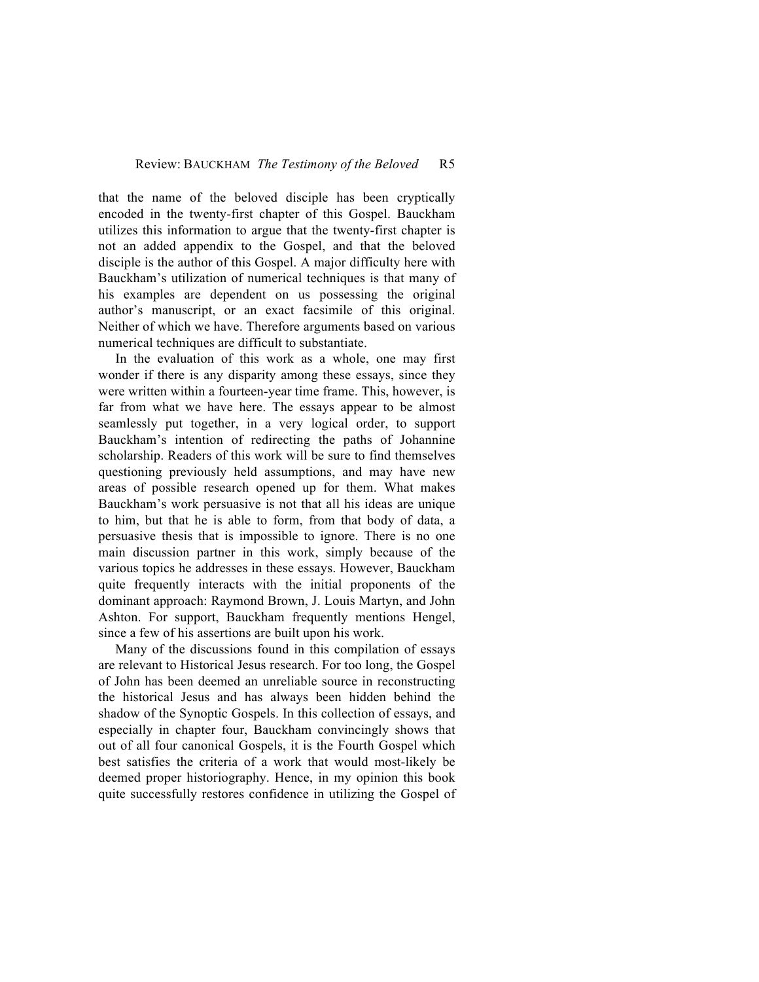that the name of the beloved disciple has been cryptically encoded in the twenty-first chapter of this Gospel. Bauckham utilizes this information to argue that the twenty-first chapter is not an added appendix to the Gospel, and that the beloved disciple is the author of this Gospel. A major difficulty here with Bauckham's utilization of numerical techniques is that many of his examples are dependent on us possessing the original author's manuscript, or an exact facsimile of this original. Neither of which we have. Therefore arguments based on various numerical techniques are difficult to substantiate.

In the evaluation of this work as a whole, one may first wonder if there is any disparity among these essays, since they were written within a fourteen-year time frame. This, however, is far from what we have here. The essays appear to be almost seamlessly put together, in a very logical order, to support Bauckham's intention of redirecting the paths of Johannine scholarship. Readers of this work will be sure to find themselves questioning previously held assumptions, and may have new areas of possible research opened up for them. What makes Bauckham's work persuasive is not that all his ideas are unique to him, but that he is able to form, from that body of data, a persuasive thesis that is impossible to ignore. There is no one main discussion partner in this work, simply because of the various topics he addresses in these essays. However, Bauckham quite frequently interacts with the initial proponents of the dominant approach: Raymond Brown, J. Louis Martyn, and John Ashton. For support, Bauckham frequently mentions Hengel, since a few of his assertions are built upon his work.

Many of the discussions found in this compilation of essays are relevant to Historical Jesus research. For too long, the Gospel of John has been deemed an unreliable source in reconstructing the historical Jesus and has always been hidden behind the shadow of the Synoptic Gospels. In this collection of essays, and especially in chapter four, Bauckham convincingly shows that out of all four canonical Gospels, it is the Fourth Gospel which best satisfies the criteria of a work that would most-likely be deemed proper historiography. Hence, in my opinion this book quite successfully restores confidence in utilizing the Gospel of